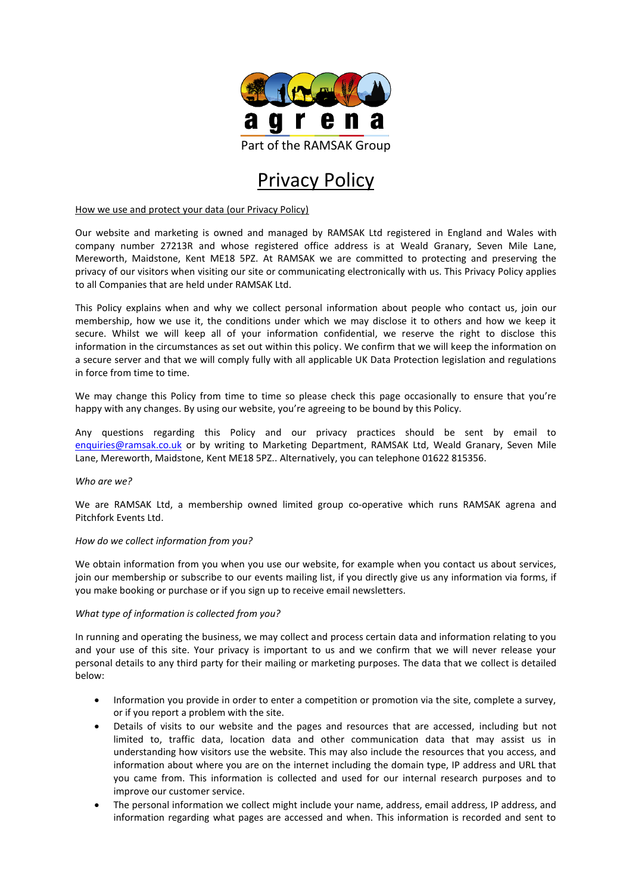

# Privacy Policy

How we use and protect your data (our Privacy Policy)

Our website and marketing is owned and managed by RAMSAK Ltd registered in England and Wales with company number 27213R and whose registered office address is at Weald Granary, Seven Mile Lane, Mereworth, Maidstone, Kent ME18 5PZ. At RAMSAK we are committed to protecting and preserving the privacy of our visitors when visiting our site or communicating electronically with us. This Privacy Policy applies to all Companies that are held under RAMSAK Ltd.

This Policy explains when and why we collect personal information about people who contact us, join our membership, how we use it, the conditions under which we may disclose it to others and how we keep it secure. Whilst we will keep all of your information confidential, we reserve the right to disclose this information in the circumstances as set out within this policy. We confirm that we will keep the information on a secure server and that we will comply fully with all applicable UK Data Protection legislation and regulations in force from time to time.

We may change this Policy from time to time so please check this page occasionally to ensure that you're happy with any changes. By using our website, you're agreeing to be bound by this Policy.

Any questions regarding this Policy and our privacy practices should be sent by email to [enquiries@ramsak.co.uk](mailto:enquiries@ramsak.co.uk) or by writing to Marketing Department, RAMSAK Ltd, Weald Granary, Seven Mile Lane, Mereworth, Maidstone, Kent ME18 5PZ.. Alternatively, you can telephone 01622 815356.

## *Who are we?*

We are RAMSAK Ltd, a membership owned limited group co-operative which runs RAMSAK agrena and Pitchfork Events Ltd.

## *How do we collect information from you?*

We obtain information from you when you use our website, for example when you contact us about services, join our membership or subscribe to our events mailing list, if you directly give us any information via forms, if you make booking or purchase or if you sign up to receive email newsletters.

## *What type of information is collected from you?*

In running and operating the business, we may collect and process certain data and information relating to you and your use of this site. Your privacy is important to us and we confirm that we will never release your personal details to any third party for their mailing or marketing purposes. The data that we collect is detailed below:

- Information you provide in order to enter a competition or promotion via the site, complete a survey, or if you report a problem with the site.
- Details of visits to our website and the pages and resources that are accessed, including but not limited to, traffic data, location data and other communication data that may assist us in understanding how visitors use the website. This may also include the resources that you access, and information about where you are on the internet including the domain type, IP address and URL that you came from. This information is collected and used for our internal research purposes and to improve our customer service.
- The personal information we collect might include your name, address, email address, IP address, and information regarding what pages are accessed and when. This information is recorded and sent to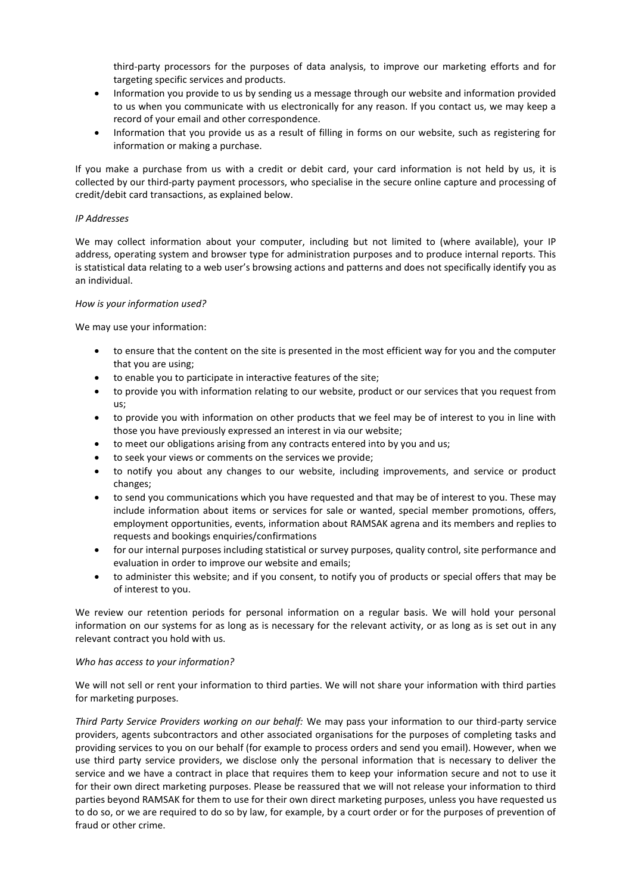third-party processors for the purposes of data analysis, to improve our marketing efforts and for targeting specific services and products.

- Information you provide to us by sending us a message through our website and information provided to us when you communicate with us electronically for any reason. If you contact us, we may keep a record of your email and other correspondence.
- Information that you provide us as a result of filling in forms on our website, such as registering for information or making a purchase.

If you make a purchase from us with a credit or debit card, your card information is not held by us, it is collected by our third-party payment processors, who specialise in the secure online capture and processing of credit/debit card transactions, as explained below.

## *IP Addresses*

We may collect information about your computer, including but not limited to (where available), your IP address, operating system and browser type for administration purposes and to produce internal reports. This is statistical data relating to a web user's browsing actions and patterns and does not specifically identify you as an individual.

### *How is your information used?*

We may use your information:

- to ensure that the content on the site is presented in the most efficient way for you and the computer that you are using;
- to enable you to participate in interactive features of the site;
- to provide you with information relating to our website, product or our services that you request from us;
- to provide you with information on other products that we feel may be of interest to you in line with those you have previously expressed an interest in via our website;
- to meet our obligations arising from any contracts entered into by you and us;
- to seek your views or comments on the services we provide;
- to notify you about any changes to our website, including improvements, and service or product changes;
- to send you communications which you have requested and that may be of interest to you. These may include information about items or services for sale or wanted, special member promotions, offers, employment opportunities, events, information about RAMSAK agrena and its members and replies to requests and bookings enquiries/confirmations
- for our internal purposes including statistical or survey purposes, quality control, site performance and evaluation in order to improve our website and emails;
- to administer this website; and if you consent, to notify you of products or special offers that may be of interest to you.

We review our retention periods for personal information on a regular basis. We will hold your personal information on our systems for as long as is necessary for the relevant activity, or as long as is set out in any relevant contract you hold with us.

## *Who has access to your information?*

We will not sell or rent your information to third parties. We will not share your information with third parties for marketing purposes.

*Third Party Service Providers working on our behalf:* We may pass your information to our third-party service providers, agents subcontractors and other associated organisations for the purposes of completing tasks and providing services to you on our behalf (for example to process orders and send you email). However, when we use third party service providers, we disclose only the personal information that is necessary to deliver the service and we have a contract in place that requires them to keep your information secure and not to use it for their own direct marketing purposes. Please be reassured that we will not release your information to third parties beyond RAMSAK for them to use for their own direct marketing purposes, unless you have requested us to do so, or we are required to do so by law, for example, by a court order or for the purposes of prevention of fraud or other crime.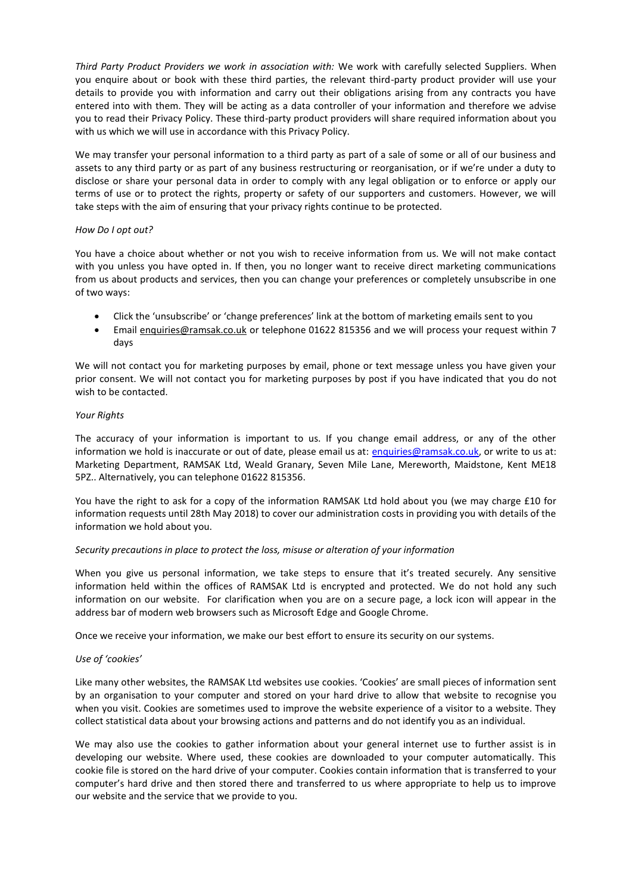*Third Party Product Providers we work in association with:* We work with carefully selected Suppliers. When you enquire about or book with these third parties, the relevant third-party product provider will use your details to provide you with information and carry out their obligations arising from any contracts you have entered into with them. They will be acting as a data controller of your information and therefore we advise you to read their Privacy Policy. These third-party product providers will share required information about you with us which we will use in accordance with this Privacy Policy.

We may transfer your personal information to a third party as part of a sale of some or all of our business and assets to any third party or as part of any business restructuring or reorganisation, or if we're under a duty to disclose or share your personal data in order to comply with any legal obligation or to enforce or apply our terms of use or to protect the rights, property or safety of our supporters and customers. However, we will take steps with the aim of ensuring that your privacy rights continue to be protected.

### *How Do I opt out?*

You have a choice about whether or not you wish to receive information from us. We will not make contact with you unless you have opted in. If then, you no longer want to receive direct marketing communications from us about products and services, then you can change your preferences or completely unsubscribe in one of two ways:

- Click the 'unsubscribe' or 'change preferences' link at the bottom of marketing emails sent to you
- Email enquiries@ramsak.co.uk or telephone 01622 815356 and we will process your request within 7 days

We will not contact you for marketing purposes by email, phone or text message unless you have given your prior consent. We will not contact you for marketing purposes by post if you have indicated that you do not wish to be contacted.

### *Your Rights*

The accuracy of your information is important to us. If you change email address, or any of the other information we hold is inaccurate or out of date, please email us at: [enquiries@ramsak.co.uk,](mailto:enquiries@ramsak.co.uk) or write to us at: Marketing Department, RAMSAK Ltd, Weald Granary, Seven Mile Lane, Mereworth, Maidstone, Kent ME18 5PZ.. Alternatively, you can telephone 01622 815356.

You have the right to ask for a copy of the information RAMSAK Ltd hold about you (we may charge £10 for information requests until 28th May 2018) to cover our administration costs in providing you with details of the information we hold about you.

## *Security precautions in place to protect the loss, misuse or alteration of your information*

When you give us personal information, we take steps to ensure that it's treated securely. Any sensitive information held within the offices of RAMSAK Ltd is encrypted and protected. We do not hold any such information on our website. For clarification when you are on a secure page, a lock icon will appear in the address bar of modern web browsers such as Microsoft Edge and Google Chrome.

Once we receive your information, we make our best effort to ensure its security on our systems.

## *Use of 'cookies'*

Like many other websites, the RAMSAK Ltd websites use cookies. 'Cookies' are small pieces of information sent by an organisation to your computer and stored on your hard drive to allow that website to recognise you when you visit. Cookies are sometimes used to improve the website experience of a visitor to a website. They collect statistical data about your browsing actions and patterns and do not identify you as an individual.

We may also use the cookies to gather information about your general internet use to further assist is in developing our website. Where used, these cookies are downloaded to your computer automatically. This cookie file is stored on the hard drive of your computer. Cookies contain information that is transferred to your computer's hard drive and then stored there and transferred to us where appropriate to help us to improve our website and the service that we provide to you.